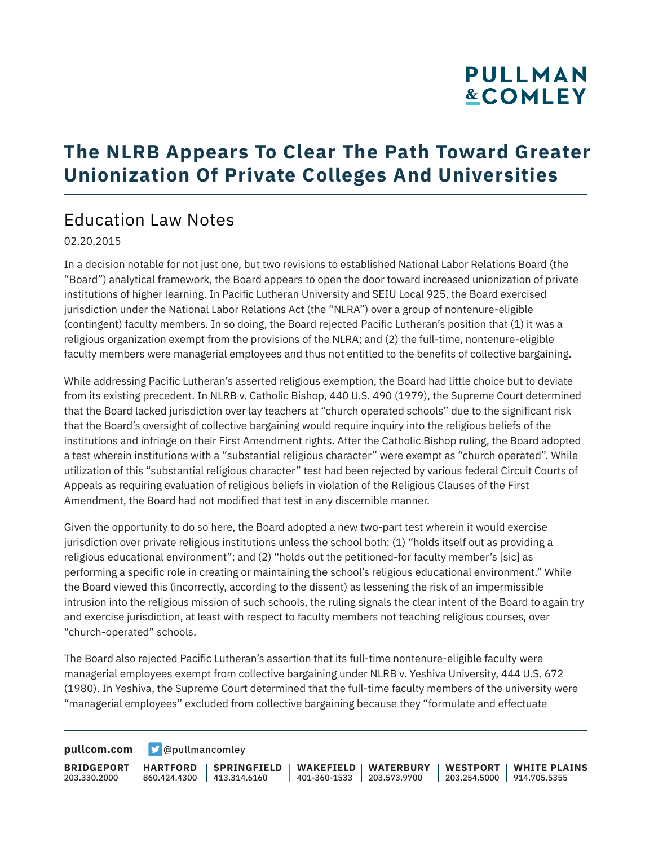# PULLMAN **&COMLEY**

### **The NLRB Appears To Clear The Path Toward Greater Unionization Of Private Colleges And Universities**

#### Education Law Notes

02.20.2015

In a decision notable for not just one, but two revisions to established National Labor Relations Board (the "Board") analytical framework, the Board appears to open the door toward increased unionization of private institutions of higher learning. In Pacific Lutheran University and SEIU Local 925, the Board exercised jurisdiction under the National Labor Relations Act (the "NLRA") over a group of nontenure-eligible (contingent) faculty members. In so doing, the Board rejected Pacific Lutheran's position that (1) it was a religious organization exempt from the provisions of the NLRA; and (2) the full-time, nontenure-eligible faculty members were managerial employees and thus not entitled to the benefits of collective bargaining.

While addressing Pacific Lutheran's asserted religious exemption, the Board had little choice but to deviate from its existing precedent. In NLRB v. Catholic Bishop, 440 U.S. 490 (1979), the Supreme Court determined that the Board lacked jurisdiction over lay teachers at "church operated schools" due to the significant risk that the Board's oversight of collective bargaining would require inquiry into the religious beliefs of the institutions and infringe on their First Amendment rights. After the Catholic Bishop ruling, the Board adopted a test wherein institutions with a "substantial religious character" were exempt as "church operated". While utilization of this "substantial religious character" test had been rejected by various federal Circuit Courts of Appeals as requiring evaluation of religious beliefs in violation of the Religious Clauses of the First Amendment, the Board had not modified that test in any discernible manner.

Given the opportunity to do so here, the Board adopted a new two-part test wherein it would exercise jurisdiction over private religious institutions unless the school both: (1) "holds itself out as providing a religious educational environment"; and (2) "holds out the petitioned-for faculty member's [sic] as performing a specific role in creating or maintaining the school's religious educational environment." While the Board viewed this (incorrectly, according to the dissent) as lessening the risk of an impermissible intrusion into the religious mission of such schools, the ruling signals the clear intent of the Board to again try and exercise jurisdiction, at least with respect to faculty members not teaching religious courses, over "church-operated" schools.

The Board also rejected Pacific Lutheran's assertion that its full-time nontenure-eligible faculty were managerial employees exempt from collective bargaining under NLRB v. Yeshiva University, 444 U.S. 672 (1980). In Yeshiva, the Supreme Court determined that the full-time faculty members of the university were "managerial employees" excluded from collective bargaining because they "formulate and effectuate

**[pullcom.com](https://www.pullcom.com) g** [@pullmancomley](https://twitter.com/PullmanComley)

**BRIDGEPORT** 203.330.2000 **HARTFORD** 860.424.4300 413.314.6160 **SPRINGFIELD WAKEFIELD WATERBURY** 401-360-1533 203.573.9700 **WESTPORT WHITE PLAINS** 203.254.5000 914.705.5355